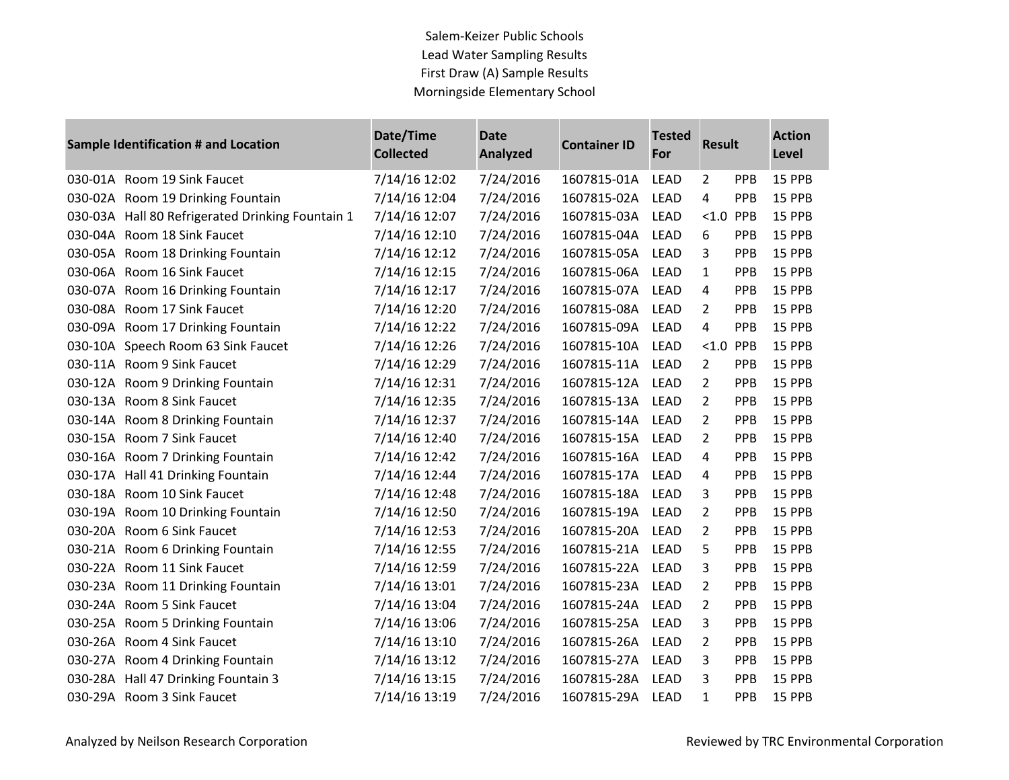## Salem-Keizer Public Schools Lead Water Sampling Results First Draw (A) Sample Results Morningside Elementary School

| Sample Identification # and Location |                                                  | Date/Time<br><b>Collected</b> | <b>Date</b><br><b>Analyzed</b> | <b>Container ID</b> | <b>Tested</b><br>For | <b>Result</b>  |            | <b>Action</b><br>Level |
|--------------------------------------|--------------------------------------------------|-------------------------------|--------------------------------|---------------------|----------------------|----------------|------------|------------------------|
|                                      | 030-01A Room 19 Sink Faucet                      | 7/14/16 12:02                 | 7/24/2016                      | 1607815-01A         | <b>LEAD</b>          | $\overline{2}$ | PPB        | 15 PPB                 |
|                                      | 030-02A Room 19 Drinking Fountain                | 7/14/16 12:04                 | 7/24/2016                      | 1607815-02A         | <b>LEAD</b>          | 4              | PPB        | 15 PPB                 |
|                                      | 030-03A Hall 80 Refrigerated Drinking Fountain 1 | 7/14/16 12:07                 | 7/24/2016                      | 1607815-03A         | <b>LEAD</b>          | < 1.0          | PPB        | 15 PPB                 |
|                                      | 030-04A Room 18 Sink Faucet                      | 7/14/16 12:10                 | 7/24/2016                      | 1607815-04A         | <b>LEAD</b>          | 6              | <b>PPB</b> | 15 PPB                 |
|                                      | 030-05A Room 18 Drinking Fountain                | 7/14/16 12:12                 | 7/24/2016                      | 1607815-05A         | <b>LEAD</b>          | 3              | PPB        | 15 PPB                 |
|                                      | 030-06A Room 16 Sink Faucet                      | 7/14/16 12:15                 | 7/24/2016                      | 1607815-06A         | <b>LEAD</b>          | $\mathbf{1}$   | PPB        | 15 PPB                 |
|                                      | 030-07A Room 16 Drinking Fountain                | 7/14/16 12:17                 | 7/24/2016                      | 1607815-07A         | <b>LEAD</b>          | 4              | PPB        | 15 PPB                 |
|                                      | 030-08A Room 17 Sink Faucet                      | 7/14/16 12:20                 | 7/24/2016                      | 1607815-08A         | <b>LEAD</b>          | $\overline{2}$ | PPB        | 15 PPB                 |
|                                      | 030-09A Room 17 Drinking Fountain                | 7/14/16 12:22                 | 7/24/2016                      | 1607815-09A         | <b>LEAD</b>          | 4              | PPB        | 15 PPB                 |
|                                      | 030-10A Speech Room 63 Sink Faucet               | 7/14/16 12:26                 | 7/24/2016                      | 1607815-10A         | <b>LEAD</b>          | < 1.0          | PPB        | 15 PPB                 |
|                                      | 030-11A Room 9 Sink Faucet                       | 7/14/16 12:29                 | 7/24/2016                      | 1607815-11A         | <b>LEAD</b>          | $\overline{2}$ | PPB        | 15 PPB                 |
|                                      | 030-12A Room 9 Drinking Fountain                 | 7/14/16 12:31                 | 7/24/2016                      | 1607815-12A         | <b>LEAD</b>          | $\overline{2}$ | PPB        | 15 PPB                 |
|                                      | 030-13A Room 8 Sink Faucet                       | 7/14/16 12:35                 | 7/24/2016                      | 1607815-13A         | <b>LEAD</b>          | $\overline{2}$ | PPB        | 15 PPB                 |
|                                      | 030-14A Room 8 Drinking Fountain                 | 7/14/16 12:37                 | 7/24/2016                      | 1607815-14A         | <b>LEAD</b>          | $\overline{2}$ | PPB        | 15 PPB                 |
|                                      | 030-15A Room 7 Sink Faucet                       | 7/14/16 12:40                 | 7/24/2016                      | 1607815-15A         | <b>LEAD</b>          | $\overline{2}$ | PPB        | 15 PPB                 |
|                                      | 030-16A Room 7 Drinking Fountain                 | 7/14/16 12:42                 | 7/24/2016                      | 1607815-16A         | <b>LEAD</b>          | 4              | PPB        | 15 PPB                 |
|                                      | 030-17A Hall 41 Drinking Fountain                | 7/14/16 12:44                 | 7/24/2016                      | 1607815-17A         | <b>LEAD</b>          | 4              | <b>PPB</b> | 15 PPB                 |
|                                      | 030-18A Room 10 Sink Faucet                      | 7/14/16 12:48                 | 7/24/2016                      | 1607815-18A         | <b>LEAD</b>          | 3              | PPB        | 15 PPB                 |
|                                      | 030-19A Room 10 Drinking Fountain                | 7/14/16 12:50                 | 7/24/2016                      | 1607815-19A         | <b>LEAD</b>          | $\overline{2}$ | PPB        | 15 PPB                 |
|                                      | 030-20A Room 6 Sink Faucet                       | 7/14/16 12:53                 | 7/24/2016                      | 1607815-20A         | <b>LEAD</b>          | 2              | PPB        | 15 PPB                 |
|                                      | 030-21A Room 6 Drinking Fountain                 | 7/14/16 12:55                 | 7/24/2016                      | 1607815-21A         | <b>LEAD</b>          | 5              | PPB        | 15 PPB                 |
|                                      | 030-22A Room 11 Sink Faucet                      | 7/14/16 12:59                 | 7/24/2016                      | 1607815-22A         | <b>LEAD</b>          | 3              | PPB        | 15 PPB                 |
| 030-23A                              | Room 11 Drinking Fountain                        | 7/14/16 13:01                 | 7/24/2016                      | 1607815-23A         | <b>LEAD</b>          | $\overline{2}$ | PPB        | 15 PPB                 |
|                                      | 030-24A Room 5 Sink Faucet                       | 7/14/16 13:04                 | 7/24/2016                      | 1607815-24A         | <b>LEAD</b>          | 2              | <b>PPB</b> | 15 PPB                 |
|                                      | 030-25A Room 5 Drinking Fountain                 | 7/14/16 13:06                 | 7/24/2016                      | 1607815-25A         | <b>LEAD</b>          | 3              | PPB        | 15 PPB                 |
|                                      | 030-26A Room 4 Sink Faucet                       | 7/14/16 13:10                 | 7/24/2016                      | 1607815-26A         | LEAD                 | $\overline{2}$ | PPB        | 15 PPB                 |
|                                      | 030-27A Room 4 Drinking Fountain                 | 7/14/16 13:12                 | 7/24/2016                      | 1607815-27A         | <b>LEAD</b>          | 3              | PPB        | 15 PPB                 |
|                                      | 030-28A Hall 47 Drinking Fountain 3              | 7/14/16 13:15                 | 7/24/2016                      | 1607815-28A         | <b>LEAD</b>          | 3              | PPB        | 15 PPB                 |
|                                      | 030-29A Room 3 Sink Faucet                       | 7/14/16 13:19                 | 7/24/2016                      | 1607815-29A         | <b>LEAD</b>          | $\mathbf{1}$   | PPB        | 15 PPB                 |